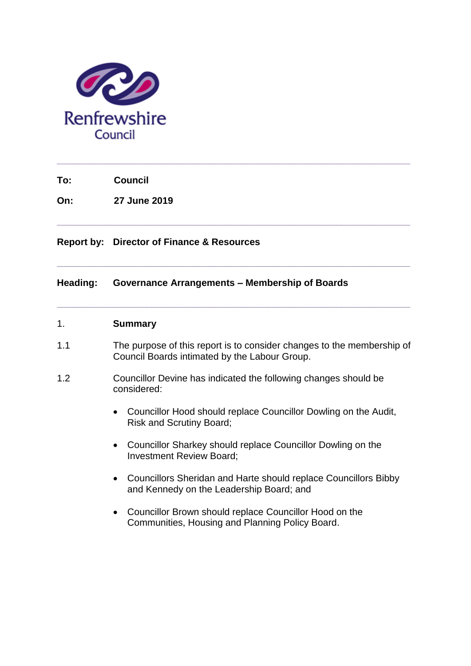

**To: Council**

**On: 27 June 2019**

## **Report by: Director of Finance & Resources**

### **Heading: Governance Arrangements – Membership of Boards**

### 1. **Summary**

1.1 The purpose of this report is to consider changes to the membership of Council Boards intimated by the Labour Group.

**\_\_\_\_\_\_\_\_\_\_\_\_\_\_\_\_\_\_\_\_\_\_\_\_\_\_\_\_\_\_\_\_\_\_\_\_\_\_\_\_\_\_\_\_\_\_\_\_\_\_\_\_\_\_\_\_\_\_\_\_\_\_\_\_\_\_\_**

**\_\_\_\_\_\_\_\_\_\_\_\_\_\_\_\_\_\_\_\_\_\_\_\_\_\_\_\_\_\_\_\_\_\_\_\_\_\_\_\_\_\_\_\_\_\_\_\_\_\_\_\_\_\_\_\_\_\_\_\_\_\_\_\_\_\_\_**

**\_\_\_\_\_\_\_\_\_\_\_\_\_\_\_\_\_\_\_\_\_\_\_\_\_\_\_\_\_\_\_\_\_\_\_\_\_\_\_\_\_\_\_\_\_\_\_\_\_\_\_\_\_\_\_\_\_\_\_\_\_\_\_\_\_\_\_**

**\_\_\_\_\_\_\_\_\_\_\_\_\_\_\_\_\_\_\_\_\_\_\_\_\_\_\_\_\_\_\_\_\_\_\_\_\_\_\_\_\_\_\_\_\_\_\_\_\_\_\_\_\_\_\_\_\_\_\_\_\_\_\_\_\_\_\_**

- 1.2 Councillor Devine has indicated the following changes should be considered:
	- Councillor Hood should replace Councillor Dowling on the Audit, Risk and Scrutiny Board;
	- Councillor Sharkey should replace Councillor Dowling on the Investment Review Board;
	- Councillors Sheridan and Harte should replace Councillors Bibby and Kennedy on the Leadership Board; and
	- Councillor Brown should replace Councillor Hood on the Communities, Housing and Planning Policy Board.